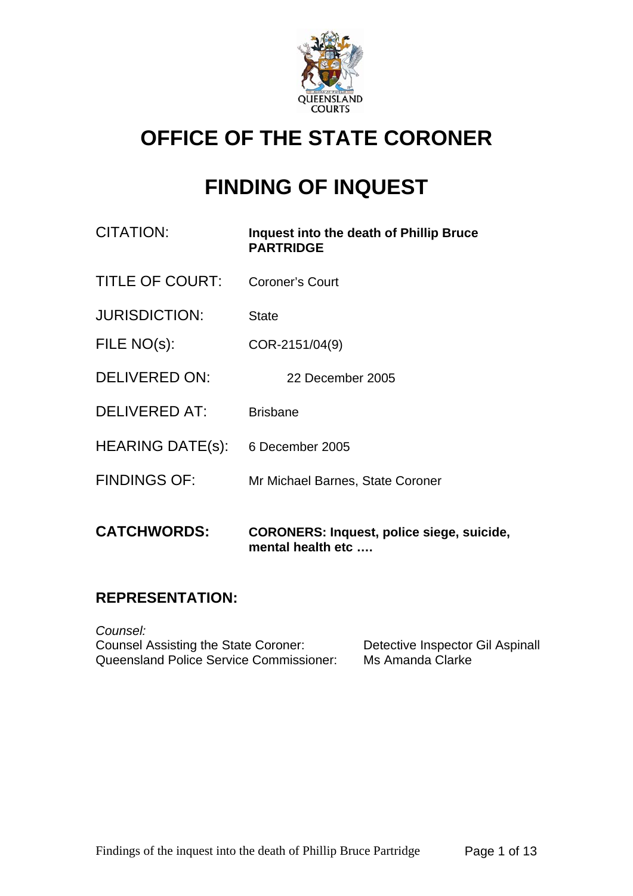

# **OFFICE OF THE STATE CORONER**

# **FINDING OF INQUEST**

| CITATION:               | Inquest into the death of Phillip Bruce<br><b>PARTRIDGE</b> |
|-------------------------|-------------------------------------------------------------|
| <b>TITLE OF COURT:</b>  | <b>Coroner's Court</b>                                      |
| <b>JURISDICTION:</b>    | <b>State</b>                                                |
| FILE NO(s):             | COR-2151/04(9)                                              |
| <b>DELIVERED ON:</b>    | 22 December 2005                                            |
| <b>DELIVERED AT:</b>    | <b>Brisbane</b>                                             |
| <b>HEARING DATE(s):</b> | 6 December 2005                                             |
| <b>FINDINGS OF:</b>     | Mr Michael Barnes, State Coroner                            |
| <b>CATCHWORDS:</b>      | <b>CORONERS: Inquest, police siege, suicide,</b>            |

## **REPRESENTATION:**

*Counsel:*  Counsel Assisting the State Coroner: Detective Inspector Gil Aspinall<br>Queensland Police Service Commissioner: Ms Amanda Clarke Queensland Police Service Commissioner:

**mental health etc ….**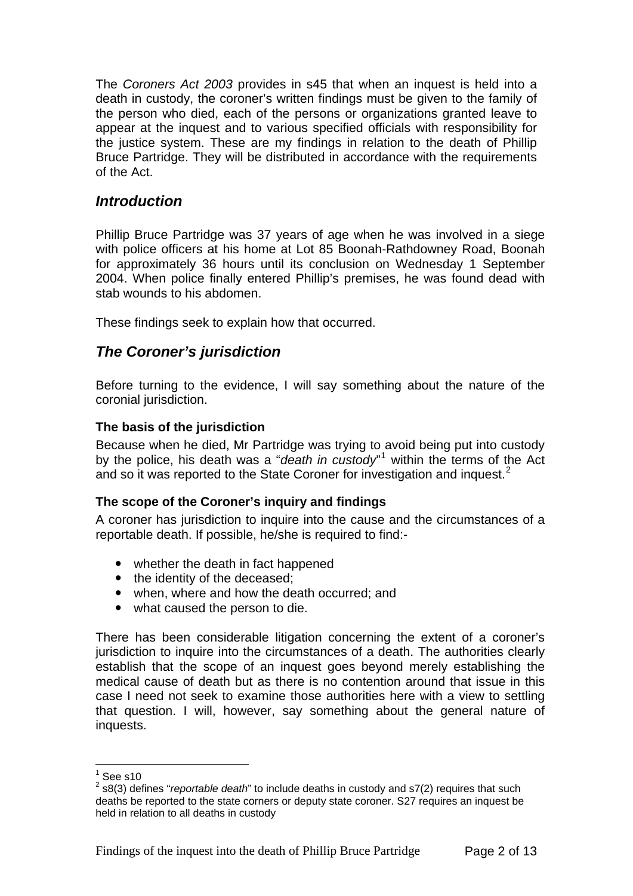The *Coroners Act 2003* provides in s45 that when an inquest is held into a death in custody, the coroner's written findings must be given to the family of the person who died, each of the persons or organizations granted leave to appear at the inquest and to various specified officials with responsibility for the justice system. These are my findings in relation to the death of Phillip Bruce Partridge. They will be distributed in accordance with the requirements of the Act.

## *Introduction*

Phillip Bruce Partridge was 37 years of age when he was involved in a siege with police officers at his home at Lot 85 Boonah-Rathdowney Road, Boonah for approximately 36 hours until its conclusion on Wednesday 1 September 2004. When police finally entered Phillip's premises, he was found dead with stab wounds to his abdomen.

These findings seek to explain how that occurred.

## *The Coroner's jurisdiction*

Before turning to the evidence, I will say something about the nature of the coronial jurisdiction.

## **The basis of the jurisdiction**

Because when he died, Mr Partridge was trying to avoid being put into custody by the police, his death was a "*death in custody*" within the terms of the Act and so it was reported to the State Coroner for investigation and inquest.<sup>[2](#page-1-1)</sup>

## **The scope of the Coroner's inquiry and findings**

A coroner has jurisdiction to inquire into the cause and the circumstances of a reportable death. If possible, he/she is required to find:-

- whether the death in fact happened
- the identity of the deceased:
- when, where and how the death occurred; and
- what caused the person to die.

There has been considerable litigation concerning the extent of a coroner's jurisdiction to inquire into the circumstances of a death. The authorities clearly establish that the scope of an inquest goes beyond merely establishing the medical cause of death but as there is no contention around that issue in this case I need not seek to examine those authorities here with a view to settling that question. I will, however, say something about the general nature of inquests.

 $\frac{1}{1}$ See s10

<span id="page-1-1"></span><span id="page-1-0"></span><sup>2</sup> s8(3) defines "*reportable death*" to include deaths in custody and s7(2) requires that such deaths be reported to the state corners or deputy state coroner. S27 requires an inquest be held in relation to all deaths in custody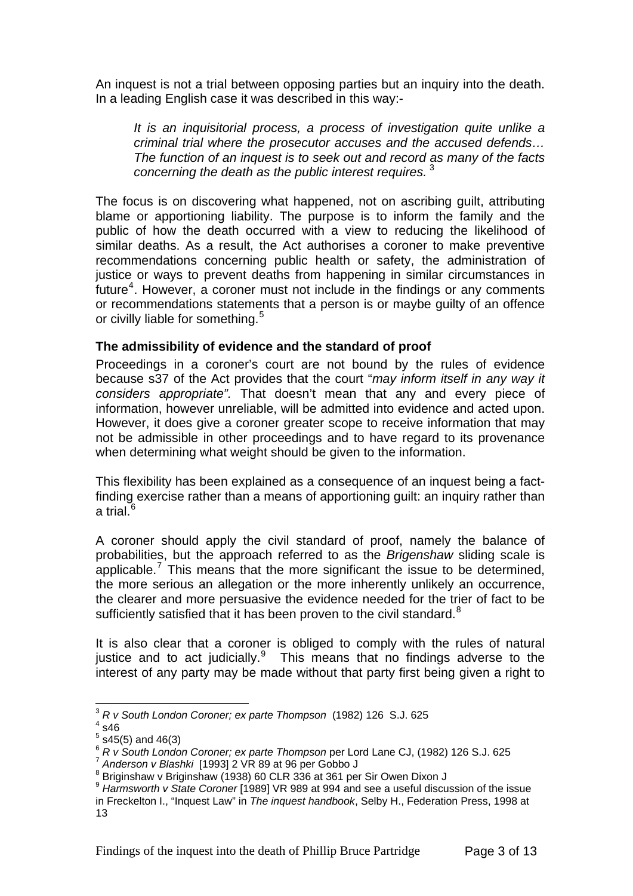An inquest is not a trial between opposing parties but an inquiry into the death. In a leading English case it was described in this way:-

*It is an inquisitorial process, a process of investigation quite unlike a criminal trial where the prosecutor accuses and the accused defends… The function of an inquest is to seek out and record as many of the facts concerning the death as the public interest requires.* [3](#page-2-0)

The focus is on discovering what happened, not on ascribing guilt, attributing blame or apportioning liability. The purpose is to inform the family and the public of how the death occurred with a view to reducing the likelihood of similar deaths. As a result, the Act authorises a coroner to make preventive recommendations concerning public health or safety, the administration of justice or ways to prevent deaths from happening in similar circumstances in future<sup>[4](#page-2-1)</sup>. However, a coroner must not include in the findings or any comments or recommendations statements that a person is or maybe guilty of an offence or civilly liable for something.<sup>[5](#page-2-2)</sup>

#### **The admissibility of evidence and the standard of proof**

Proceedings in a coroner's court are not bound by the rules of evidence because s37 of the Act provides that the court "*may inform itself in any way it considers appropriate".* That doesn't mean that any and every piece of information, however unreliable, will be admitted into evidence and acted upon. However, it does give a coroner greater scope to receive information that may not be admissible in other proceedings and to have regard to its provenance when determining what weight should be given to the information.

This flexibility has been explained as a consequence of an inquest being a factfinding exercise rather than a means of apportioning guilt: an inquiry rather than a trial. $6$ 

A coroner should apply the civil standard of proof, namely the balance of probabilities, but the approach referred to as the *Brigenshaw* sliding scale is applicable.<sup>[7](#page-2-4)</sup> This means that the more significant the issue to be determined, the more serious an allegation or the more inherently unlikely an occurrence, the clearer and more persuasive the evidence needed for the trier of fact to be sufficiently satisfied that it has been proven to the civil standard. $8$ 

It is also clear that a coroner is obliged to comply with the rules of natural justice and to act judicially. $9$  This means that no findings adverse to the interest of any party may be made without that party first being given a right to

1

<span id="page-2-0"></span><sup>3</sup> *R v South London Coroner; ex parte Thompson* (1982) 126 S.J. 625 4

<span id="page-2-1"></span> $4$  s46

 $<sup>5</sup>$  s45(5) and 46(3)</sup>

<span id="page-2-3"></span><span id="page-2-2"></span><sup>&</sup>lt;sup>6</sup> *R v South London Coroner; ex parte Thompson* per Lord Lane CJ, (1982) 126 S.J. 625<br><sup>7</sup> Anderson v Blashki [1993] 2 VR 89 at 96 per Gobbo J

<span id="page-2-5"></span><span id="page-2-4"></span><sup>8</sup> Briginshaw v Briginshaw (1938) 60 CLR 336 at 361 per Sir Owen Dixon J

<span id="page-2-6"></span><sup>&</sup>lt;sup>9</sup> Harmsworth v State Coroner [1989] VR 989 at 994 and see a useful discussion of the issue in Freckelton I., "Inquest Law" in *The inquest handbook*, Selby H., Federation Press, 1998 at 13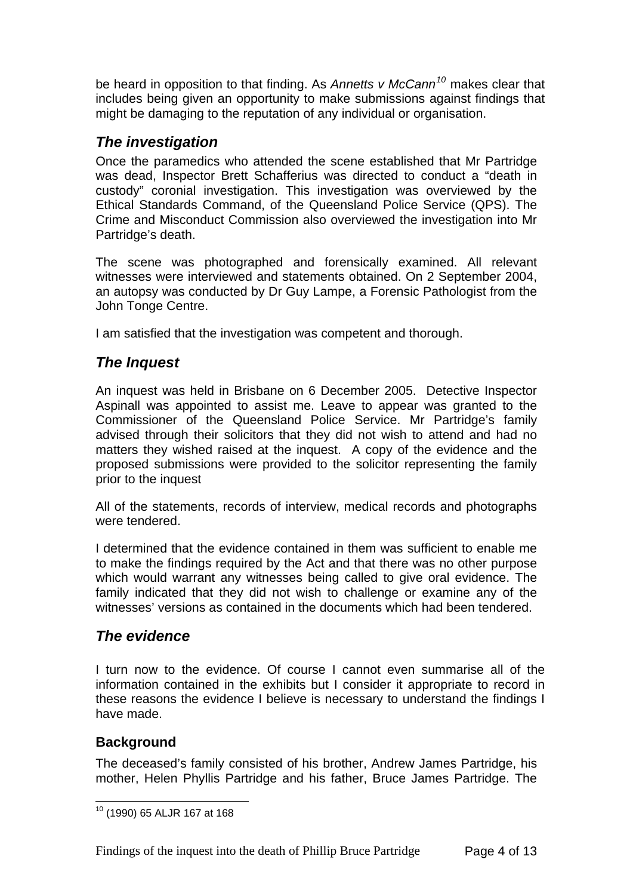be heard in opposition to that finding. As *Annetts v McCann[10](#page-3-0)* makes clear that includes being given an opportunity to make submissions against findings that might be damaging to the reputation of any individual or organisation.

## *The investigation*

Once the paramedics who attended the scene established that Mr Partridge was dead, Inspector Brett Schafferius was directed to conduct a "death in custody" coronial investigation. This investigation was overviewed by the Ethical Standards Command, of the Queensland Police Service (QPS). The Crime and Misconduct Commission also overviewed the investigation into Mr Partridge's death.

The scene was photographed and forensically examined. All relevant witnesses were interviewed and statements obtained. On 2 September 2004, an autopsy was conducted by Dr Guy Lampe, a Forensic Pathologist from the John Tonge Centre.

I am satisfied that the investigation was competent and thorough.

## *The Inquest*

An inquest was held in Brisbane on 6 December 2005. Detective Inspector Aspinall was appointed to assist me. Leave to appear was granted to the Commissioner of the Queensland Police Service. Mr Partridge's family advised through their solicitors that they did not wish to attend and had no matters they wished raised at the inquest. A copy of the evidence and the proposed submissions were provided to the solicitor representing the family prior to the inquest

All of the statements, records of interview, medical records and photographs were tendered.

I determined that the evidence contained in them was sufficient to enable me to make the findings required by the Act and that there was no other purpose which would warrant any witnesses being called to give oral evidence. The family indicated that they did not wish to challenge or examine any of the witnesses' versions as contained in the documents which had been tendered.

## *The evidence*

I turn now to the evidence. Of course I cannot even summarise all of the information contained in the exhibits but I consider it appropriate to record in these reasons the evidence I believe is necessary to understand the findings I have made.

## **Background**

The deceased's family consisted of his brother, Andrew James Partridge, his mother, Helen Phyllis Partridge and his father, Bruce James Partridge. The

<span id="page-3-0"></span><sup>1</sup> 10 (1990) 65 ALJR 167 at 168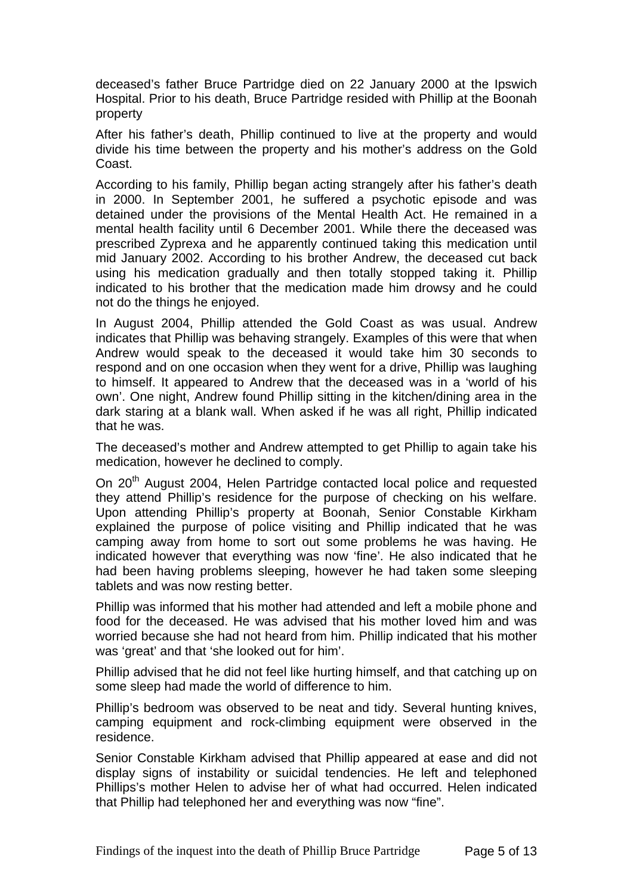deceased's father Bruce Partridge died on 22 January 2000 at the Ipswich Hospital. Prior to his death, Bruce Partridge resided with Phillip at the Boonah property

After his father's death, Phillip continued to live at the property and would divide his time between the property and his mother's address on the Gold Coast.

According to his family, Phillip began acting strangely after his father's death in 2000. In September 2001, he suffered a psychotic episode and was detained under the provisions of the Mental Health Act. He remained in a mental health facility until 6 December 2001. While there the deceased was prescribed Zyprexa and he apparently continued taking this medication until mid January 2002. According to his brother Andrew, the deceased cut back using his medication gradually and then totally stopped taking it. Phillip indicated to his brother that the medication made him drowsy and he could not do the things he enjoyed.

In August 2004, Phillip attended the Gold Coast as was usual. Andrew indicates that Phillip was behaving strangely. Examples of this were that when Andrew would speak to the deceased it would take him 30 seconds to respond and on one occasion when they went for a drive, Phillip was laughing to himself. It appeared to Andrew that the deceased was in a 'world of his own'. One night, Andrew found Phillip sitting in the kitchen/dining area in the dark staring at a blank wall. When asked if he was all right, Phillip indicated that he was.

The deceased's mother and Andrew attempted to get Phillip to again take his medication, however he declined to comply.

On 20<sup>th</sup> August 2004, Helen Partridge contacted local police and requested they attend Phillip's residence for the purpose of checking on his welfare. Upon attending Phillip's property at Boonah, Senior Constable Kirkham explained the purpose of police visiting and Phillip indicated that he was camping away from home to sort out some problems he was having. He indicated however that everything was now 'fine'. He also indicated that he had been having problems sleeping, however he had taken some sleeping tablets and was now resting better.

Phillip was informed that his mother had attended and left a mobile phone and food for the deceased. He was advised that his mother loved him and was worried because she had not heard from him. Phillip indicated that his mother was 'great' and that 'she looked out for him'.

Phillip advised that he did not feel like hurting himself, and that catching up on some sleep had made the world of difference to him.

Phillip's bedroom was observed to be neat and tidy. Several hunting knives, camping equipment and rock-climbing equipment were observed in the residence.

Senior Constable Kirkham advised that Phillip appeared at ease and did not display signs of instability or suicidal tendencies. He left and telephoned Phillips's mother Helen to advise her of what had occurred. Helen indicated that Phillip had telephoned her and everything was now "fine".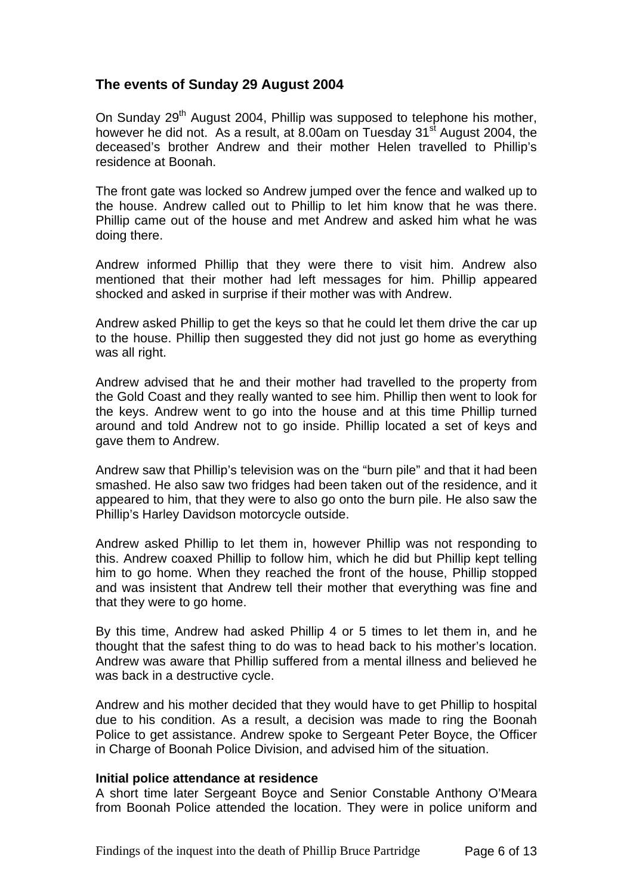## **The events of Sunday 29 August 2004**

On Sunday 29<sup>th</sup> August 2004, Phillip was supposed to telephone his mother, however he did not. As a result, at 8.00am on Tuesday 31<sup>st</sup> August 2004, the deceased's brother Andrew and their mother Helen travelled to Phillip's residence at Boonah.

The front gate was locked so Andrew jumped over the fence and walked up to the house. Andrew called out to Phillip to let him know that he was there. Phillip came out of the house and met Andrew and asked him what he was doing there.

Andrew informed Phillip that they were there to visit him. Andrew also mentioned that their mother had left messages for him. Phillip appeared shocked and asked in surprise if their mother was with Andrew.

Andrew asked Phillip to get the keys so that he could let them drive the car up to the house. Phillip then suggested they did not just go home as everything was all right.

Andrew advised that he and their mother had travelled to the property from the Gold Coast and they really wanted to see him. Phillip then went to look for the keys. Andrew went to go into the house and at this time Phillip turned around and told Andrew not to go inside. Phillip located a set of keys and gave them to Andrew.

Andrew saw that Phillip's television was on the "burn pile" and that it had been smashed. He also saw two fridges had been taken out of the residence, and it appeared to him, that they were to also go onto the burn pile. He also saw the Phillip's Harley Davidson motorcycle outside.

Andrew asked Phillip to let them in, however Phillip was not responding to this. Andrew coaxed Phillip to follow him, which he did but Phillip kept telling him to go home. When they reached the front of the house, Phillip stopped and was insistent that Andrew tell their mother that everything was fine and that they were to go home.

By this time, Andrew had asked Phillip 4 or 5 times to let them in, and he thought that the safest thing to do was to head back to his mother's location. Andrew was aware that Phillip suffered from a mental illness and believed he was back in a destructive cycle.

Andrew and his mother decided that they would have to get Phillip to hospital due to his condition. As a result, a decision was made to ring the Boonah Police to get assistance. Andrew spoke to Sergeant Peter Boyce, the Officer in Charge of Boonah Police Division, and advised him of the situation.

#### **Initial police attendance at residence**

A short time later Sergeant Boyce and Senior Constable Anthony O'Meara from Boonah Police attended the location. They were in police uniform and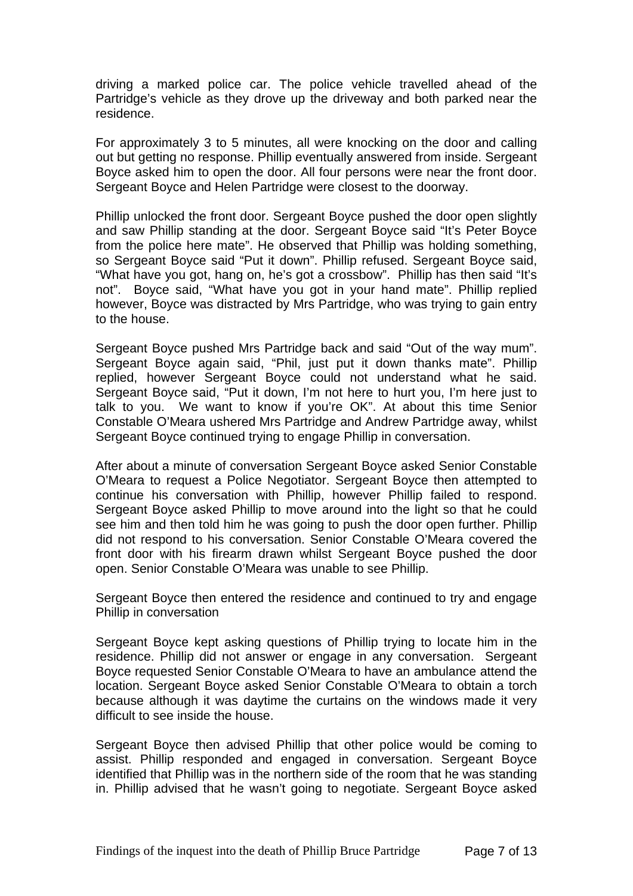driving a marked police car. The police vehicle travelled ahead of the Partridge's vehicle as they drove up the driveway and both parked near the residence.

For approximately 3 to 5 minutes, all were knocking on the door and calling out but getting no response. Phillip eventually answered from inside. Sergeant Boyce asked him to open the door. All four persons were near the front door. Sergeant Boyce and Helen Partridge were closest to the doorway.

Phillip unlocked the front door. Sergeant Boyce pushed the door open slightly and saw Phillip standing at the door. Sergeant Boyce said "It's Peter Boyce from the police here mate". He observed that Phillip was holding something, so Sergeant Boyce said "Put it down". Phillip refused. Sergeant Boyce said, "What have you got, hang on, he's got a crossbow". Phillip has then said "It's not". Boyce said, "What have you got in your hand mate". Phillip replied however, Boyce was distracted by Mrs Partridge, who was trying to gain entry to the house.

Sergeant Boyce pushed Mrs Partridge back and said "Out of the way mum". Sergeant Boyce again said, "Phil, just put it down thanks mate". Phillip replied, however Sergeant Boyce could not understand what he said. Sergeant Boyce said, "Put it down, I'm not here to hurt you, I'm here just to talk to you. We want to know if you're OK". At about this time Senior Constable O'Meara ushered Mrs Partridge and Andrew Partridge away, whilst Sergeant Boyce continued trying to engage Phillip in conversation.

After about a minute of conversation Sergeant Boyce asked Senior Constable O'Meara to request a Police Negotiator. Sergeant Boyce then attempted to continue his conversation with Phillip, however Phillip failed to respond. Sergeant Boyce asked Phillip to move around into the light so that he could see him and then told him he was going to push the door open further. Phillip did not respond to his conversation. Senior Constable O'Meara covered the front door with his firearm drawn whilst Sergeant Boyce pushed the door open. Senior Constable O'Meara was unable to see Phillip.

Sergeant Boyce then entered the residence and continued to try and engage Phillip in conversation

Sergeant Boyce kept asking questions of Phillip trying to locate him in the residence. Phillip did not answer or engage in any conversation. Sergeant Boyce requested Senior Constable O'Meara to have an ambulance attend the location. Sergeant Boyce asked Senior Constable O'Meara to obtain a torch because although it was daytime the curtains on the windows made it very difficult to see inside the house.

Sergeant Boyce then advised Phillip that other police would be coming to assist. Phillip responded and engaged in conversation. Sergeant Boyce identified that Phillip was in the northern side of the room that he was standing in. Phillip advised that he wasn't going to negotiate. Sergeant Boyce asked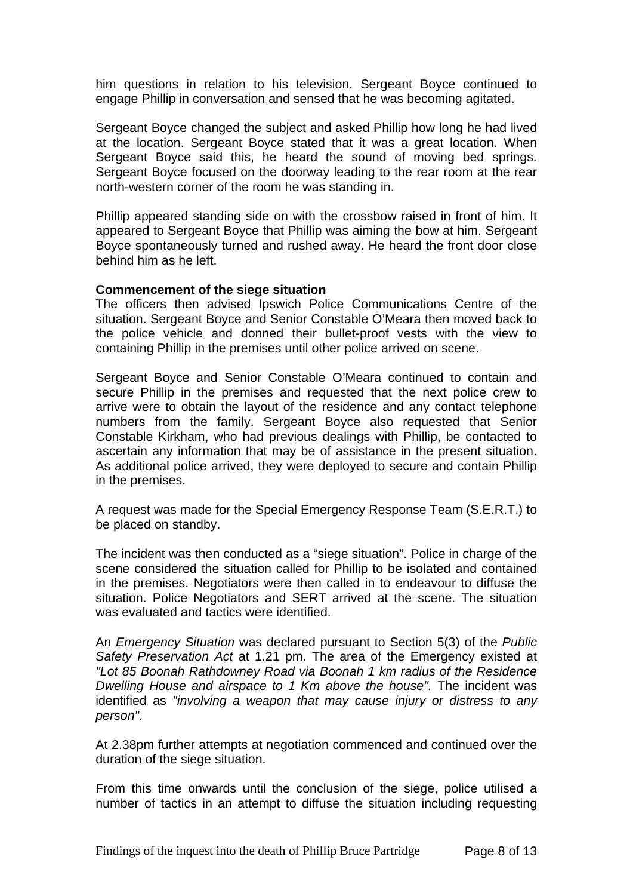him questions in relation to his television. Sergeant Boyce continued to engage Phillip in conversation and sensed that he was becoming agitated.

Sergeant Boyce changed the subject and asked Phillip how long he had lived at the location. Sergeant Boyce stated that it was a great location. When Sergeant Boyce said this, he heard the sound of moving bed springs. Sergeant Boyce focused on the doorway leading to the rear room at the rear north-western corner of the room he was standing in.

Phillip appeared standing side on with the crossbow raised in front of him. It appeared to Sergeant Boyce that Phillip was aiming the bow at him. Sergeant Boyce spontaneously turned and rushed away. He heard the front door close behind him as he left.

#### **Commencement of the siege situation**

The officers then advised Ipswich Police Communications Centre of the situation. Sergeant Boyce and Senior Constable O'Meara then moved back to the police vehicle and donned their bullet-proof vests with the view to containing Phillip in the premises until other police arrived on scene.

Sergeant Boyce and Senior Constable O'Meara continued to contain and secure Phillip in the premises and requested that the next police crew to arrive were to obtain the layout of the residence and any contact telephone numbers from the family. Sergeant Boyce also requested that Senior Constable Kirkham, who had previous dealings with Phillip, be contacted to ascertain any information that may be of assistance in the present situation. As additional police arrived, they were deployed to secure and contain Phillip in the premises.

A request was made for the Special Emergency Response Team (S.E.R.T.) to be placed on standby.

The incident was then conducted as a "siege situation". Police in charge of the scene considered the situation called for Phillip to be isolated and contained in the premises. Negotiators were then called in to endeavour to diffuse the situation. Police Negotiators and SERT arrived at the scene. The situation was evaluated and tactics were identified.

An *Emergency Situation* was declared pursuant to Section 5(3) of the *Public Safety Preservation Act* at 1.21 pm. The area of the Emergency existed at *"Lot 85 Boonah Rathdowney Road via Boonah 1 km radius of the Residence Dwelling House and airspace to 1 Km above the house".* The incident was identified as *"involving a weapon that may cause injury or distress to any person".*

At 2.38pm further attempts at negotiation commenced and continued over the duration of the siege situation.

From this time onwards until the conclusion of the siege, police utilised a number of tactics in an attempt to diffuse the situation including requesting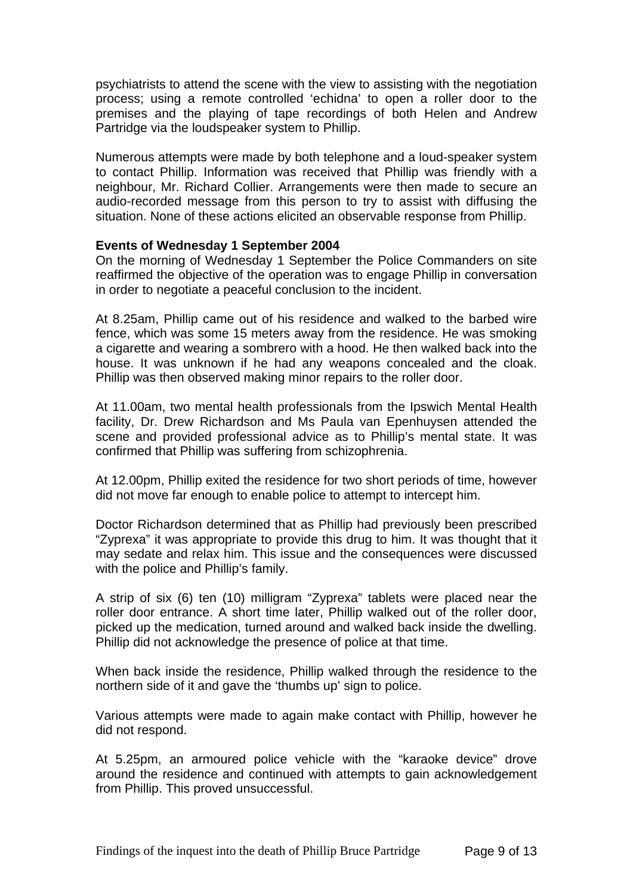psychiatrists to attend the scene with the view to assisting with the negotiation process; using a remote controlled 'echidna' to open a roller door to the premises and the playing of tape recordings of both Helen and Andrew Partridge via the loudspeaker system to Phillip.

Numerous attempts were made by both telephone and a loud-speaker system to contact Phillip. Information was received that Phillip was friendly with a neighbour, Mr. Richard Collier. Arrangements were then made to secure an audio-recorded message from this person to try to assist with diffusing the situation. None of these actions elicited an observable response from Phillip.

#### **Events of Wednesday 1 September 2004**

On the morning of Wednesday 1 September the Police Commanders on site reaffirmed the objective of the operation was to engage Phillip in conversation in order to negotiate a peaceful conclusion to the incident.

At 8.25am, Phillip came out of his residence and walked to the barbed wire fence, which was some 15 meters away from the residence. He was smoking a cigarette and wearing a sombrero with a hood. He then walked back into the house. It was unknown if he had any weapons concealed and the cloak. Phillip was then observed making minor repairs to the roller door.

At 11.00am, two mental health professionals from the Ipswich Mental Health facility, Dr. Drew Richardson and Ms Paula van Epenhuysen attended the scene and provided professional advice as to Phillip's mental state. It was confirmed that Phillip was suffering from schizophrenia.

At 12.00pm, Phillip exited the residence for two short periods of time, however did not move far enough to enable police to attempt to intercept him.

Doctor Richardson determined that as Phillip had previously been prescribed "Zyprexa" it was appropriate to provide this drug to him. It was thought that it may sedate and relax him. This issue and the consequences were discussed with the police and Phillip's family.

A strip of six (6) ten (10) milligram "Zyprexa" tablets were placed near the roller door entrance. A short time later, Phillip walked out of the roller door, picked up the medication, turned around and walked back inside the dwelling. Phillip did not acknowledge the presence of police at that time.

When back inside the residence, Phillip walked through the residence to the northern side of it and gave the 'thumbs up' sign to police.

Various attempts were made to again make contact with Phillip, however he did not respond.

At 5.25pm, an armoured police vehicle with the "karaoke device" drove around the residence and continued with attempts to gain acknowledgement from Phillip. This proved unsuccessful.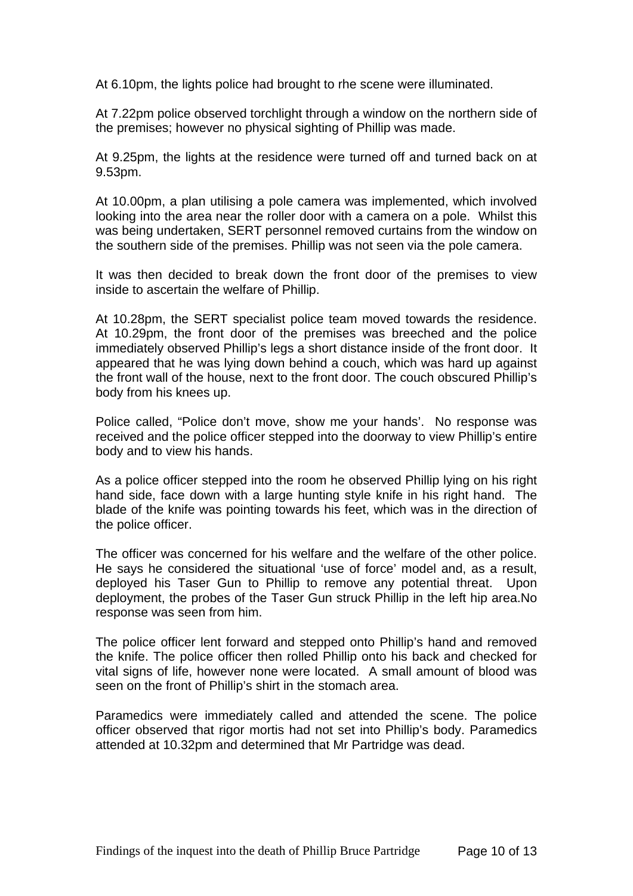At 6.10pm, the lights police had brought to rhe scene were illuminated.

At 7.22pm police observed torchlight through a window on the northern side of the premises; however no physical sighting of Phillip was made.

At 9.25pm, the lights at the residence were turned off and turned back on at 9.53pm.

At 10.00pm, a plan utilising a pole camera was implemented, which involved looking into the area near the roller door with a camera on a pole. Whilst this was being undertaken, SERT personnel removed curtains from the window on the southern side of the premises. Phillip was not seen via the pole camera.

It was then decided to break down the front door of the premises to view inside to ascertain the welfare of Phillip.

At 10.28pm, the SERT specialist police team moved towards the residence. At 10.29pm, the front door of the premises was breeched and the police immediately observed Phillip's legs a short distance inside of the front door. It appeared that he was lying down behind a couch, which was hard up against the front wall of the house, next to the front door. The couch obscured Phillip's body from his knees up.

Police called, "Police don't move, show me your hands'. No response was received and the police officer stepped into the doorway to view Phillip's entire body and to view his hands.

As a police officer stepped into the room he observed Phillip lying on his right hand side, face down with a large hunting style knife in his right hand. The blade of the knife was pointing towards his feet, which was in the direction of the police officer.

The officer was concerned for his welfare and the welfare of the other police. He says he considered the situational 'use of force' model and, as a result, deployed his Taser Gun to Phillip to remove any potential threat. Upon deployment, the probes of the Taser Gun struck Phillip in the left hip area.No response was seen from him.

The police officer lent forward and stepped onto Phillip's hand and removed the knife. The police officer then rolled Phillip onto his back and checked for vital signs of life, however none were located. A small amount of blood was seen on the front of Phillip's shirt in the stomach area.

Paramedics were immediately called and attended the scene. The police officer observed that rigor mortis had not set into Phillip's body. Paramedics attended at 10.32pm and determined that Mr Partridge was dead.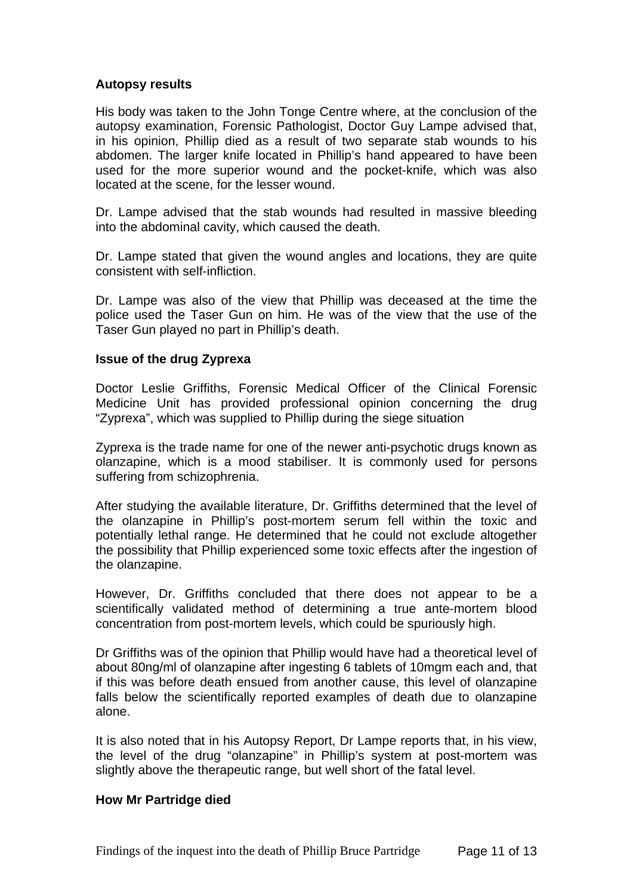#### **Autopsy results**

His body was taken to the John Tonge Centre where, at the conclusion of the autopsy examination, Forensic Pathologist, Doctor Guy Lampe advised that, in his opinion, Phillip died as a result of two separate stab wounds to his abdomen. The larger knife located in Phillip's hand appeared to have been used for the more superior wound and the pocket-knife, which was also located at the scene, for the lesser wound.

Dr. Lampe advised that the stab wounds had resulted in massive bleeding into the abdominal cavity, which caused the death.

Dr. Lampe stated that given the wound angles and locations, they are quite consistent with self-infliction.

Dr. Lampe was also of the view that Phillip was deceased at the time the police used the Taser Gun on him. He was of the view that the use of the Taser Gun played no part in Phillip's death.

#### **Issue of the drug Zyprexa**

Doctor Leslie Griffiths, Forensic Medical Officer of the Clinical Forensic Medicine Unit has provided professional opinion concerning the drug "Zyprexa", which was supplied to Phillip during the siege situation

Zyprexa is the trade name for one of the newer anti-psychotic drugs known as olanzapine, which is a mood stabiliser. It is commonly used for persons suffering from schizophrenia.

After studying the available literature, Dr. Griffiths determined that the level of the olanzapine in Phillip's post-mortem serum fell within the toxic and potentially lethal range. He determined that he could not exclude altogether the possibility that Phillip experienced some toxic effects after the ingestion of the olanzapine.

However, Dr. Griffiths concluded that there does not appear to be a scientifically validated method of determining a true ante-mortem blood concentration from post-mortem levels, which could be spuriously high.

Dr Griffiths was of the opinion that Phillip would have had a theoretical level of about 80ng/ml of olanzapine after ingesting 6 tablets of 10mgm each and, that if this was before death ensued from another cause, this level of olanzapine falls below the scientifically reported examples of death due to olanzapine alone.

It is also noted that in his Autopsy Report, Dr Lampe reports that, in his view, the level of the drug "olanzapine" in Phillip's system at post-mortem was slightly above the therapeutic range, but well short of the fatal level.

#### **How Mr Partridge died**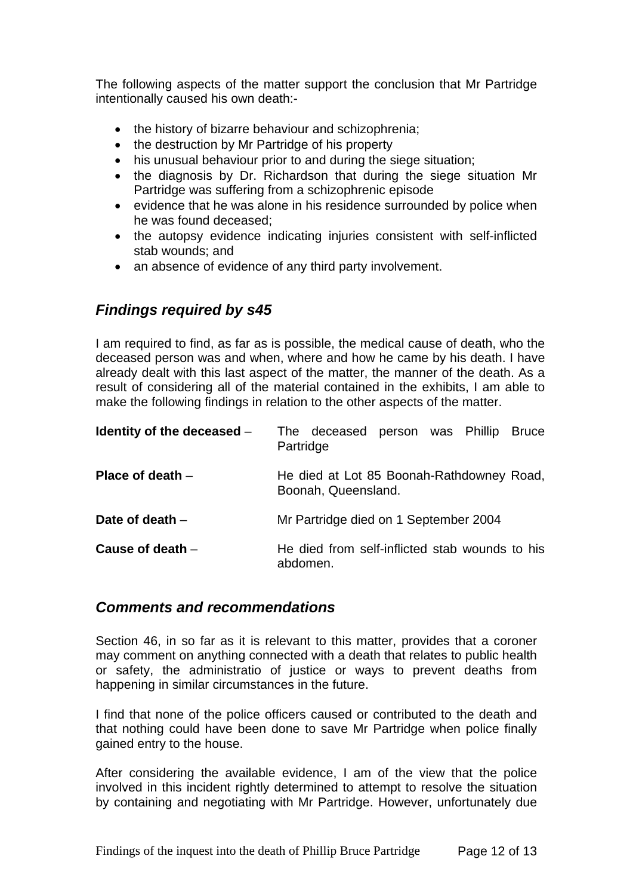The following aspects of the matter support the conclusion that Mr Partridge intentionally caused his own death:-

- the history of bizarre behaviour and schizophrenia;
- the destruction by Mr Partridge of his property
- his unusual behaviour prior to and during the siege situation;
- the diagnosis by Dr. Richardson that during the siege situation Mr Partridge was suffering from a schizophrenic episode
- evidence that he was alone in his residence surrounded by police when he was found deceased;
- the autopsy evidence indicating injuries consistent with self-inflicted stab wounds; and
- an absence of evidence of any third party involvement.

## *Findings required by s45*

I am required to find, as far as is possible, the medical cause of death, who the deceased person was and when, where and how he came by his death. I have already dealt with this last aspect of the matter, the manner of the death. As a result of considering all of the material contained in the exhibits, I am able to make the following findings in relation to the other aspects of the matter.

| Identity of the deceased $-$ | The deceased person was Phillip Bruce<br>Partridge               |
|------------------------------|------------------------------------------------------------------|
| Place of death $-$           | He died at Lot 85 Boonah-Rathdowney Road,<br>Boonah, Queensland. |
| Date of death $-$            | Mr Partridge died on 1 September 2004                            |
| Cause of death $-$           | He died from self-inflicted stab wounds to his<br>abdomen.       |

## *Comments and recommendations*

Section 46, in so far as it is relevant to this matter, provides that a coroner may comment on anything connected with a death that relates to public health or safety, the administratio of justice or ways to prevent deaths from happening in similar circumstances in the future.

I find that none of the police officers caused or contributed to the death and that nothing could have been done to save Mr Partridge when police finally gained entry to the house.

After considering the available evidence, I am of the view that the police involved in this incident rightly determined to attempt to resolve the situation by containing and negotiating with Mr Partridge. However, unfortunately due